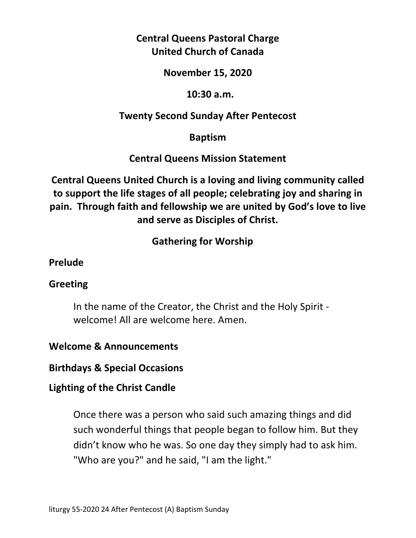# **Central Queens Pastoral Charge United Church of Canada**

### **November 15, 2020**

### **10:30 a.m.**

## **Twenty Second Sunday After Pentecost**

## **Baptism**

## **Central Queens Mission Statement**

**Central Queens United Church is a loving and living community called to support the life stages of all people; celebrating joy and sharing in pain. Through faith and fellowship we are united by God's love to live and serve as Disciples of Christ.**

# **Gathering for Worship**

### **Prelude**

## **Greeting**

In the name of the Creator, the Christ and the Holy Spirit welcome! All are welcome here. Amen.

## **Welcome & Announcements**

**Birthdays & Special Occasions** 

## **Lighting of the Christ Candle**

Once there was a person who said such amazing things and did such wonderful things that people began to follow him. But they didn't know who he was. So one day they simply had to ask him. "Who are you?" and he said, "I am the light."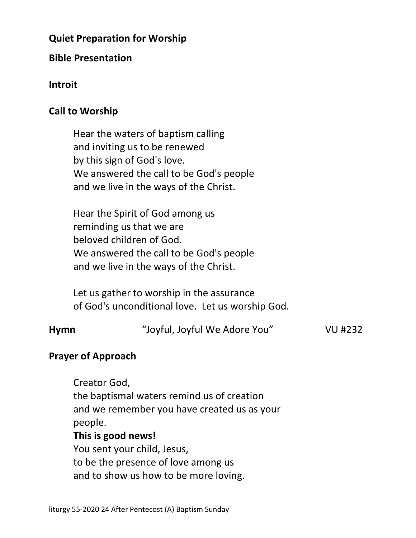## **Quiet Preparation for Worship**

### **Bible Presentation**

### **Introit**

### **Call to Worship**

 Hear the waters of baptism calling and inviting us to be renewed by this sign of God's love. We answered the call to be God's people and we live in the ways of the Christ.

 Hear the Spirit of God among us reminding us that we are beloved children of God. We answered the call to be God's people and we live in the ways of the Christ.

 Let us gather to worship in the assurance of God's unconditional love. Let us worship God.

| <b>Hymn</b> | "Joyful, Joyful We Adore You" | VU #232 |
|-------------|-------------------------------|---------|
|             |                               |         |

### **Prayer of Approach**

 Creator God, the baptismal waters remind us of creation and we remember you have created us as your people. **This is good news!** You sent your child, Jesus, to be the presence of love among us and to show us how to be more loving.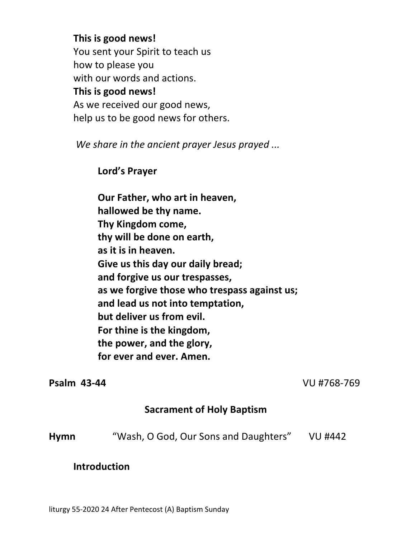#### **This is good news!**

 You sent your Spirit to teach us how to please you with our words and actions. **This is good news!**  As we received our good news, help us to be good news for others.

*We share in the ancient prayer Jesus prayed ...* 

 **Lord's Prayer** 

 **Our Father, who art in heaven, hallowed be thy name. Thy Kingdom come, thy will be done on earth, as it is in heaven. Give us this day our daily bread; and forgive us our trespasses, as we forgive those who trespass against us; and lead us not into temptation, but deliver us from evil. For thine is the kingdom, the power, and the glory, for ever and ever. Amen.** 

**Psalm 43-44** VU #768-769

### **Sacrament of Holy Baptism**

| <b>Hymn</b> | "Wash, O God, Our Sons and Daughters" | VU #442 |
|-------------|---------------------------------------|---------|
|-------------|---------------------------------------|---------|

### **Introduction**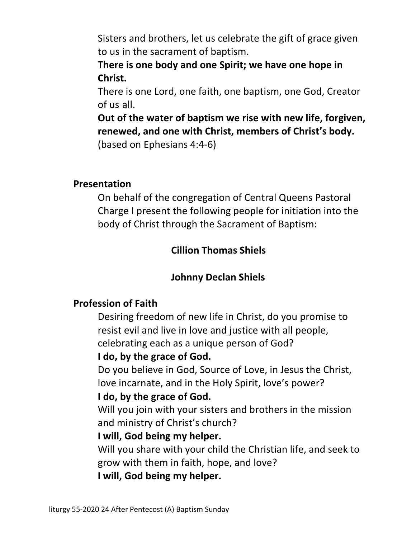Sisters and brothers, let us celebrate the gift of grace given to us in the sacrament of baptism.

 **There is one body and one Spirit; we have one hope in Christ.** 

 There is one Lord, one faith, one baptism, one God, Creator of us all.

 **Out of the water of baptism we rise with new life, forgiven, renewed, and one with Christ, members of Christ's body.** (based on Ephesians 4:4-6)

### **Presentation**

 On behalf of the congregation of Central Queens Pastoral Charge I present the following people for initiation into the body of Christ through the Sacrament of Baptism:

### **Cillion Thomas Shiels**

### **Johnny Declan Shiels**

### **Profession of Faith**

 Desiring freedom of new life in Christ, do you promise to resist evil and live in love and justice with all people, celebrating each as a unique person of God?

### **I do, by the grace of God.**

 Do you believe in God, Source of Love, in Jesus the Christ, love incarnate, and in the Holy Spirit, love's power?

### **I do, by the grace of God.**

 Will you join with your sisters and brothers in the mission and ministry of Christ's church?

#### **I will, God being my helper.**

 Will you share with your child the Christian life, and seek to grow with them in faith, hope, and love?

 **I will, God being my helper.**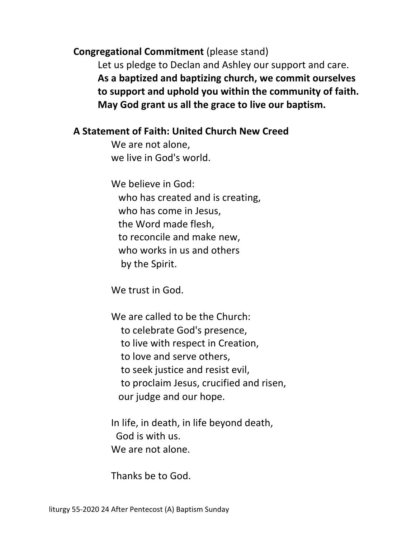**Congregational Commitment** (please stand)

 Let us pledge to Declan and Ashley our support and care.  **As a baptized and baptizing church, we commit ourselves to support and uphold you within the community of faith. May God grant us all the grace to live our baptism.** 

### **A Statement of Faith: United Church New Creed**

 We are not alone, we live in God's world.

 We believe in God: who has created and is creating, who has come in Jesus, the Word made flesh, to reconcile and make new, who works in us and others by the Spirit.

We trust in God.

 We are called to be the Church: to celebrate God's presence, to live with respect in Creation, to love and serve others, to seek justice and resist evil, to proclaim Jesus, crucified and risen, our judge and our hope.

 In life, in death, in life beyond death, God is with us. We are not alone.

Thanks be to God.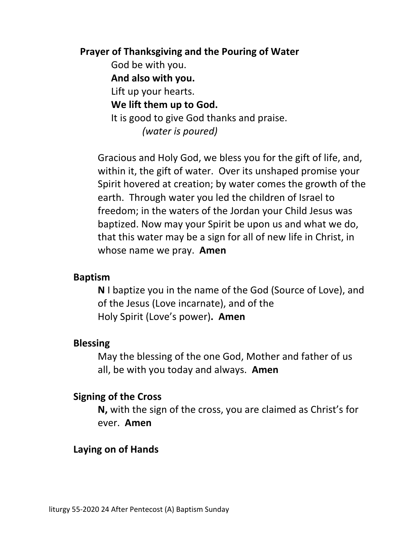#### **Prayer of Thanksgiving and the Pouring of Water**

 God be with you.  **And also with you.**  Lift up your hearts.  **We lift them up to God.**  It is good to give God thanks and praise.  *(water is poured)* 

 Gracious and Holy God, we bless you for the gift of life, and, within it, the gift of water. Over its unshaped promise your Spirit hovered at creation; by water comes the growth of the earth. Through water you led the children of Israel to freedom; in the waters of the Jordan your Child Jesus was baptized. Now may your Spirit be upon us and what we do, that this water may be a sign for all of new life in Christ, in whose name we pray. **Amen**

#### **Baptism**

 **N** I baptize you in the name of the God (Source of Love), and of the Jesus (Love incarnate), and of the Holy Spirit (Love's power)**. Amen** 

#### **Blessing**

 May the blessing of the one God, Mother and father of us all, be with you today and always. **Amen** 

#### **Signing of the Cross**

 **N,** with the sign of the cross, you are claimed as Christ's for ever. **Amen** 

### **Laying on of Hands**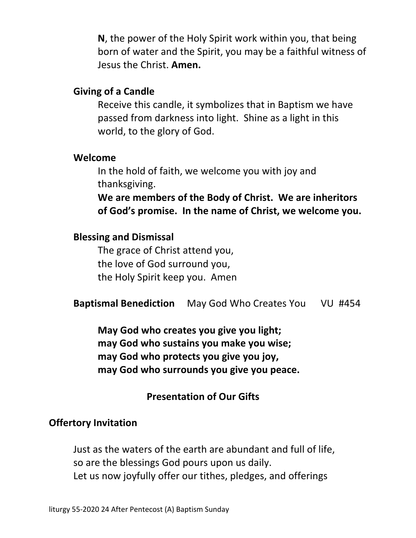**N**, the power of the Holy Spirit work within you, that being born of water and the Spirit, you may be a faithful witness of Jesus the Christ. **Amen.** 

#### **Giving of a Candle**

 Receive this candle, it symbolizes that in Baptism we have passed from darkness into light. Shine as a light in this world, to the glory of God.

#### **Welcome**

 In the hold of faith, we welcome you with joy and thanksgiving.

 **We are members of the Body of Christ. We are inheritors of God's promise. In the name of Christ, we welcome you.** 

#### **Blessing and Dismissal**

 The grace of Christ attend you, the love of God surround you, the Holy Spirit keep you. Amen

 **Baptismal Benediction** May God Who Creates You VU #454

 **May God who creates you give you light; may God who sustains you make you wise; may God who protects you give you joy, may God who surrounds you give you peace.** 

### **Presentation of Our Gifts**

### **Offertory Invitation**

Just as the waters of the earth are abundant and full of life, so are the blessings God pours upon us daily. Let us now joyfully offer our tithes, pledges, and offerings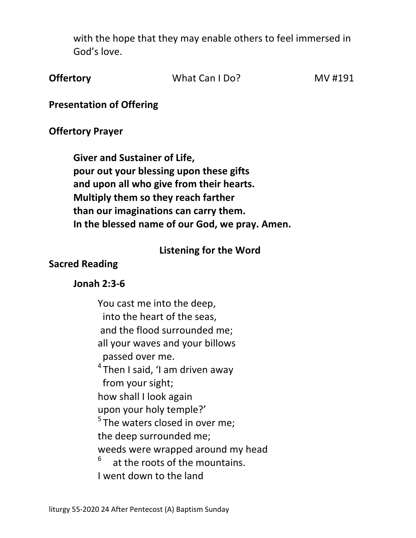with the hope that they may enable others to feel immersed in God's love.

|  | <b>Offertory</b> | What Can I Do? | MV #191 |
|--|------------------|----------------|---------|
|--|------------------|----------------|---------|

**Presentation of Offering** 

#### **Offertory Prayer**

**Giver and Sustainer of Life, pour out your blessing upon these gifts and upon all who give from their hearts. Multiply them so they reach farther than our imaginations can carry them. In the blessed name of our God, we pray. Amen.** 

#### **Listening for the Word**

### **Sacred Reading**

#### **Jonah 2:3-6**

 You cast me into the deep, into the heart of the seas, and the flood surrounded me; all your waves and your billows passed over me.  $4$ Then I said, 'I am driven away from your sight; how shall I look again upon your holy temple?'  $5$ The waters closed in over me: the deep surrounded me; weeds were wrapped around my head  $6$  at the roots of the mountains. I went down to the land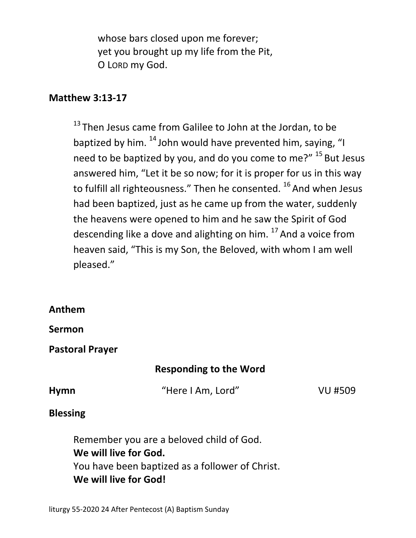whose bars closed upon me forever; yet you brought up my life from the Pit, O LORD my God.

### **Matthew 3:13-17**

<sup>13</sup> Then Jesus came from Galilee to John at the Jordan, to be baptized by him.  $^{14}$  John would have prevented him, saying, "I need to be baptized by you, and do you come to me?" <sup>15</sup> But Jesus answered him, "Let it be so now; for it is proper for us in this way to fulfill all righteousness." Then he consented.  $^{16}$  And when Jesus had been baptized, just as he came up from the water, suddenly the heavens were opened to him and he saw the Spirit of God descending like a dove and alighting on him.  $17$  And a voice from heaven said, "This is my Son, the Beloved, with whom I am well pleased."

### **Anthem**

**Sermon** 

**Pastoral Prayer**

### **Responding to the Word**

**Hymn** "Here I Am, Lord" VU #509

#### **Blessing**

Remember you are a beloved child of God.  **We will live for God.**  You have been baptized as a follower of Christ.  **We will live for God!**